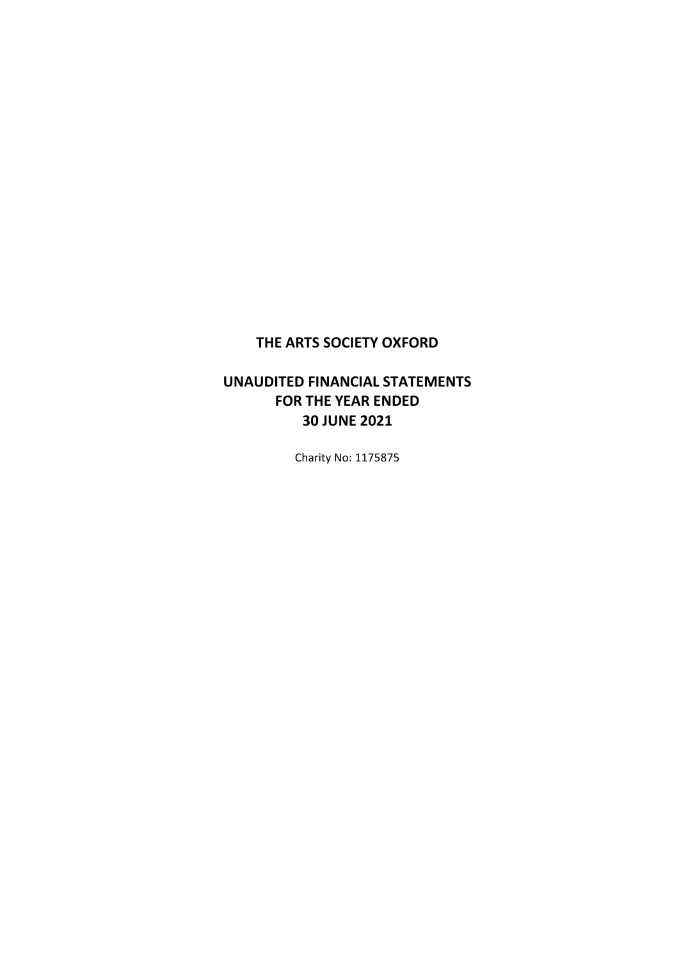# **UNAUDITED FINANCIAL STATEMENTS FOR THE YEAR ENDED 30 JUNE 2021**

Charity No: 1175875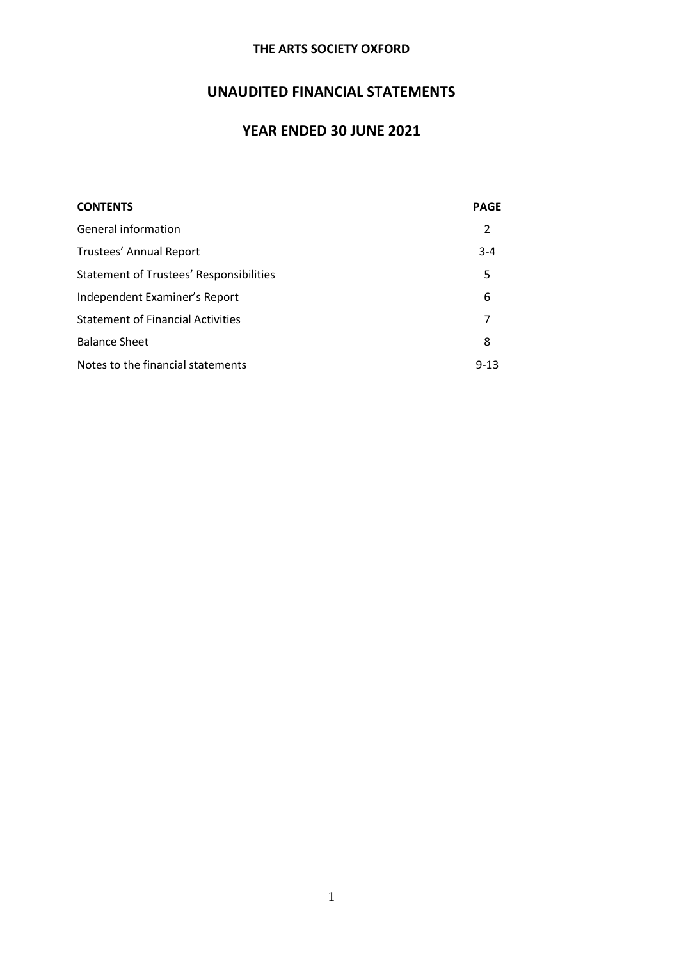# **UNAUDITED FINANCIAL STATEMENTS**

# **YEAR ENDED 30 JUNE 2021**

| <b>CONTENTS</b>                          | <b>PAGE</b> |
|------------------------------------------|-------------|
| General information                      | 2           |
| Trustees' Annual Report                  | $3 - 4$     |
| Statement of Trustees' Responsibilities  | 5           |
| Independent Examiner's Report            | 6           |
| <b>Statement of Financial Activities</b> |             |
| <b>Balance Sheet</b>                     | 8           |
| Notes to the financial statements        | $9 - 13$    |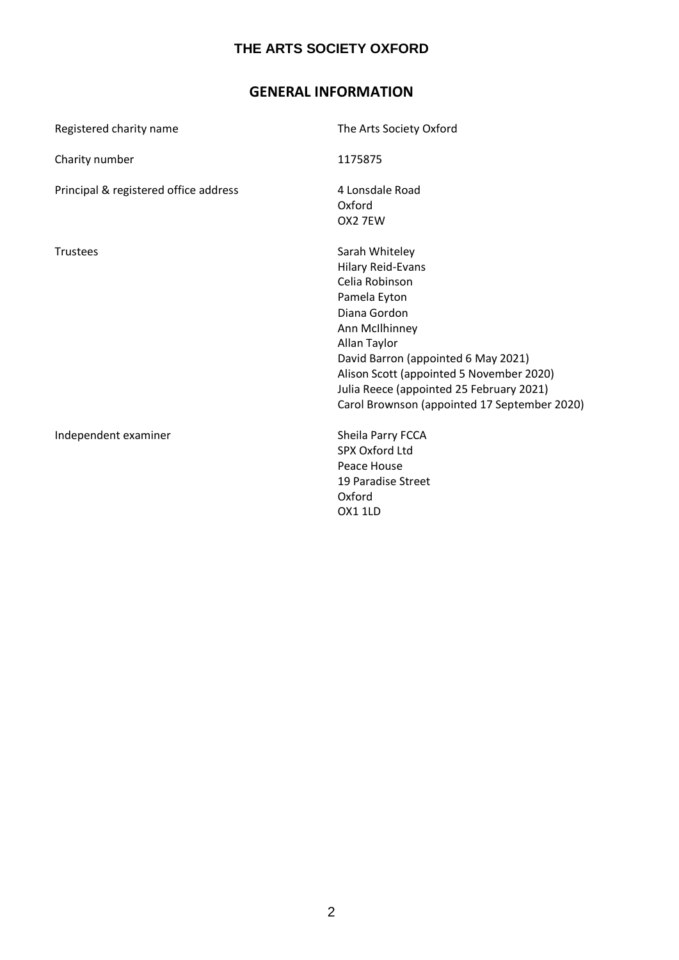# **GENERAL INFORMATION**

| Registered charity name               | The Arts Society Oxford                                                                                                                                                                                                                                                                                       |
|---------------------------------------|---------------------------------------------------------------------------------------------------------------------------------------------------------------------------------------------------------------------------------------------------------------------------------------------------------------|
| Charity number                        | 1175875                                                                                                                                                                                                                                                                                                       |
| Principal & registered office address | 4 Lonsdale Road<br>Oxford<br>OX2 7EW                                                                                                                                                                                                                                                                          |
| <b>Trustees</b>                       | Sarah Whiteley<br><b>Hilary Reid-Evans</b><br>Celia Robinson<br>Pamela Eyton<br>Diana Gordon<br>Ann McIlhinney<br>Allan Taylor<br>David Barron (appointed 6 May 2021)<br>Alison Scott (appointed 5 November 2020)<br>Julia Reece (appointed 25 February 2021)<br>Carol Brownson (appointed 17 September 2020) |
| Independent examiner                  | Sheila Parry FCCA<br><b>SPX Oxford Ltd</b><br>Peace House<br>19 Paradise Street<br>Oxford<br><b>OX1 1LD</b>                                                                                                                                                                                                   |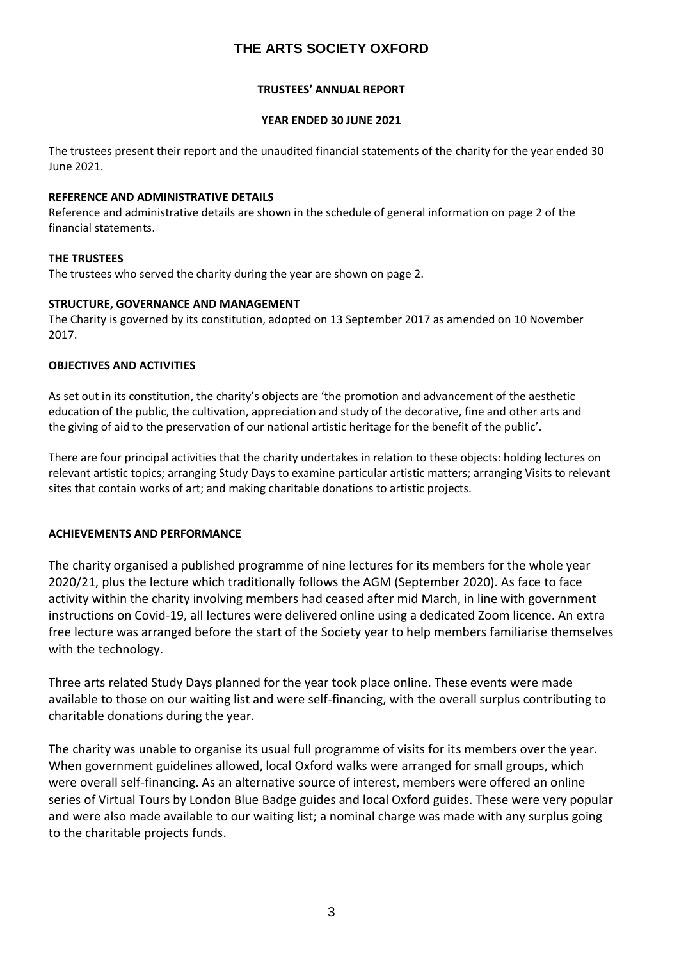### **TRUSTEES' ANNUAL REPORT**

### **YEAR ENDED 30 JUNE 2021**

The trustees present their report and the unaudited financial statements of the charity for the year ended 30 June 2021.

### **REFERENCE AND ADMINISTRATIVE DETAILS**

Reference and administrative details are shown in the schedule of general information on page 2 of the financial statements.

### **THE TRUSTEES**

The trustees who served the charity during the year are shown on page 2.

### **STRUCTURE, GOVERNANCE AND MANAGEMENT**

The Charity is governed by its constitution, adopted on 13 September 2017 as amended on 10 November 2017.

### **OBJECTIVES AND ACTIVITIES**

As set out in its constitution, the charity's objects are 'the promotion and advancement of the aesthetic education of the public, the cultivation, appreciation and study of the decorative, fine and other arts and the giving of aid to the preservation of our national artistic heritage for the benefit of the public'.

There are four principal activities that the charity undertakes in relation to these objects: holding lectures on relevant artistic topics; arranging Study Days to examine particular artistic matters; arranging Visits to relevant sites that contain works of art; and making charitable donations to artistic projects.

## **ACHIEVEMENTS AND PERFORMANCE**

The charity organised a published programme of nine lectures for its members for the whole year 2020/21, plus the lecture which traditionally follows the AGM (September 2020). As face to face activity within the charity involving members had ceased after mid March, in line with government instructions on Covid-19, all lectures were delivered online using a dedicated Zoom licence. An extra free lecture was arranged before the start of the Society year to help members familiarise themselves with the technology.

Three arts related Study Days planned for the year took place online. These events were made available to those on our waiting list and were self-financing, with the overall surplus contributing to charitable donations during the year.

The charity was unable to organise its usual full programme of visits for its members over the year. When government guidelines allowed, local Oxford walks were arranged for small groups, which were overall self-financing. As an alternative source of interest, members were offered an online series of Virtual Tours by London Blue Badge guides and local Oxford guides. These were very popular and were also made available to our waiting list; a nominal charge was made with any surplus going to the charitable projects funds.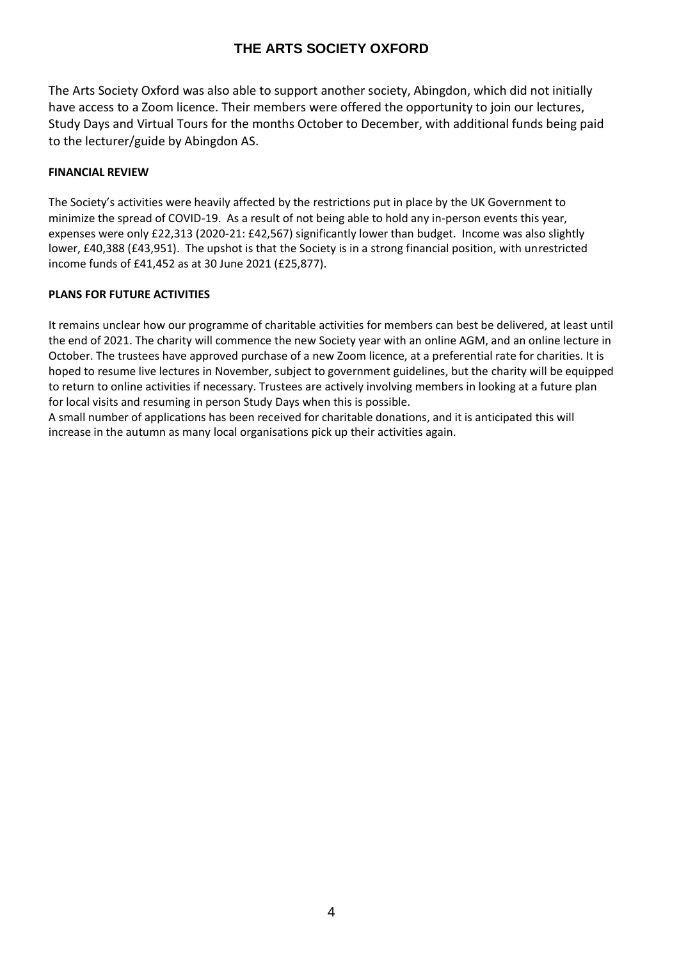The Arts Society Oxford was also able to support another society, Abingdon, which did not initially have access to a Zoom licence. Their members were offered the opportunity to join our lectures, Study Days and Virtual Tours for the months October to December, with additional funds being paid to the lecturer/guide by Abingdon AS.

### **FINANCIAL REVIEW**

The Society's activities were heavily affected by the restrictions put in place by the UK Government to minimize the spread of COVID-19. As a result of not being able to hold any in-person events this year, expenses were only £22,313 (2020-21: £42,567) significantly lower than budget. Income was also slightly lower, £40,388 (£43,951). The upshot is that the Society is in a strong financial position, with unrestricted income funds of £41,452 as at 30 June 2021 (£25,877).

### **PLANS FOR FUTURE ACTIVITIES**

It remains unclear how our programme of charitable activities for members can best be delivered, at least until the end of 2021. The charity will commence the new Society year with an online AGM, and an online lecture in October. The trustees have approved purchase of a new Zoom licence, at a preferential rate for charities. It is hoped to resume live lectures in November, subject to government guidelines, but the charity will be equipped to return to online activities if necessary. Trustees are actively involving members in looking at a future plan for local visits and resuming in person Study Days when this is possible.

A small number of applications has been received for charitable donations, and it is anticipated this will increase in the autumn as many local organisations pick up their activities again.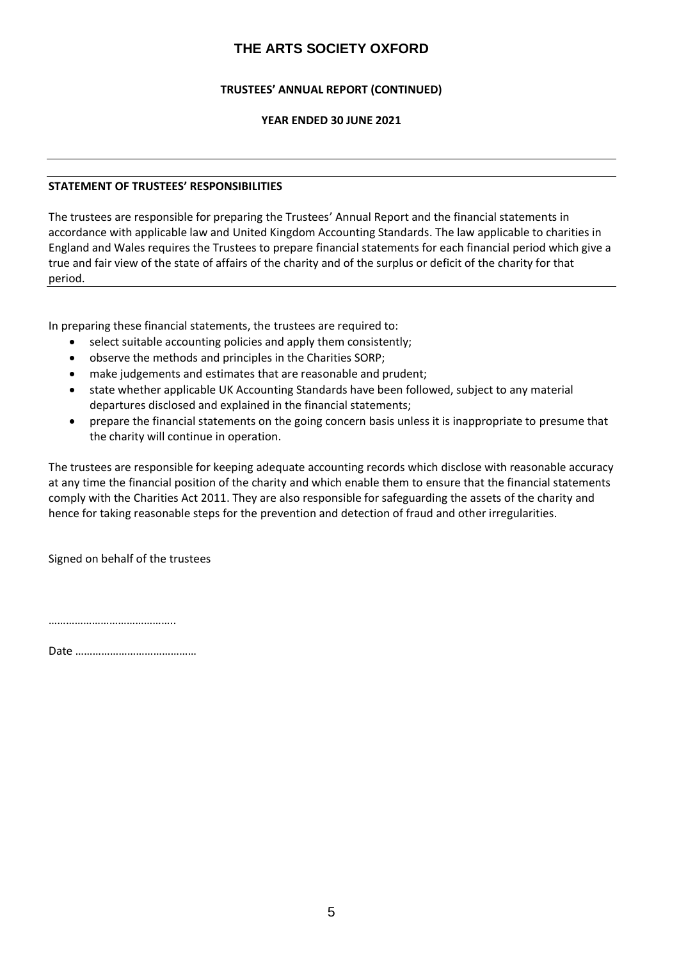### **TRUSTEES' ANNUAL REPORT (CONTINUED)**

### **YEAR ENDED 30 JUNE 2021**

### **STATEMENT OF TRUSTEES' RESPONSIBILITIES**

The trustees are responsible for preparing the Trustees' Annual Report and the financial statements in accordance with applicable law and United Kingdom Accounting Standards. The law applicable to charities in England and Wales requires the Trustees to prepare financial statements for each financial period which give a true and fair view of the state of affairs of the charity and of the surplus or deficit of the charity for that period.

In preparing these financial statements, the trustees are required to:

- select suitable accounting policies and apply them consistently;
- observe the methods and principles in the Charities SORP;
- make judgements and estimates that are reasonable and prudent;
- state whether applicable UK Accounting Standards have been followed, subject to any material departures disclosed and explained in the financial statements;
- prepare the financial statements on the going concern basis unless it is inappropriate to presume that the charity will continue in operation.

The trustees are responsible for keeping adequate accounting records which disclose with reasonable accuracy at any time the financial position of the charity and which enable them to ensure that the financial statements comply with the Charities Act 2011. They are also responsible for safeguarding the assets of the charity and hence for taking reasonable steps for the prevention and detection of fraud and other irregularities.

Signed on behalf of the trustees

………………………………………………

Date ……………………………………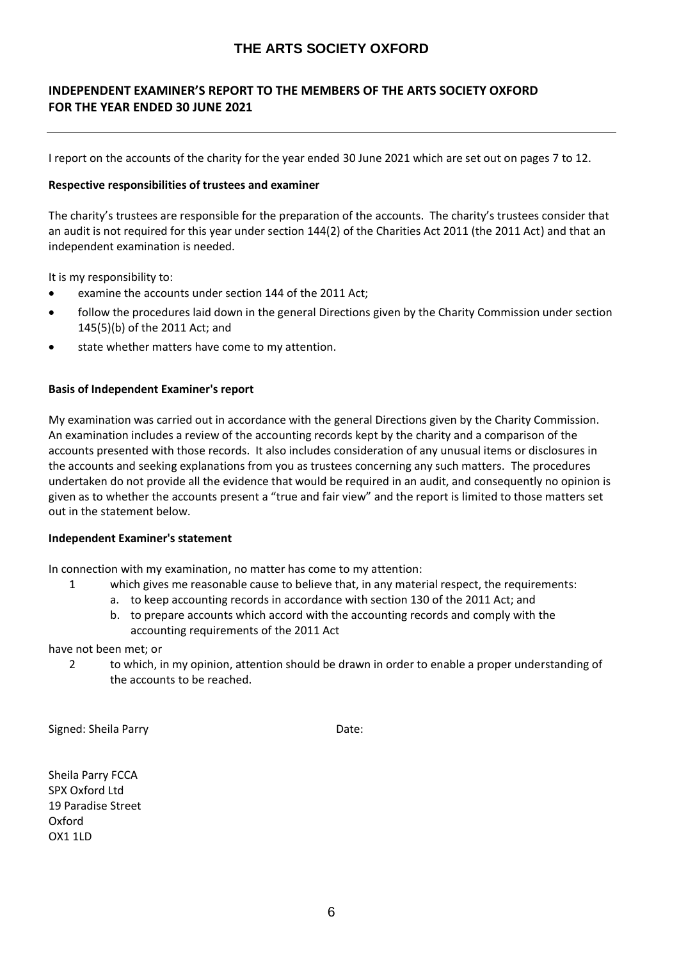## **INDEPENDENT EXAMINER'S REPORT TO THE MEMBERS OF THE ARTS SOCIETY OXFORD FOR THE YEAR ENDED 30 JUNE 2021**

I report on the accounts of the charity for the year ended 30 June 2021 which are set out on pages 7 to 12.

#### **Respective responsibilities of trustees and examiner**

The charity's trustees are responsible for the preparation of the accounts. The charity's trustees consider that an audit is not required for this year under section 144(2) of the Charities Act 2011 (the 2011 Act) and that an independent examination is needed.

It is my responsibility to:

- examine the accounts under section 144 of the 2011 Act;
- follow the procedures laid down in the general Directions given by the Charity Commission under section 145(5)(b) of the 2011 Act; and
- state whether matters have come to my attention.

### **Basis of Independent Examiner's report**

My examination was carried out in accordance with the general Directions given by the Charity Commission. An examination includes a review of the accounting records kept by the charity and a comparison of the accounts presented with those records. It also includes consideration of any unusual items or disclosures in the accounts and seeking explanations from you as trustees concerning any such matters. The procedures undertaken do not provide all the evidence that would be required in an audit, and consequently no opinion is given as to whether the accounts present a "true and fair view" and the report is limited to those matters set out in the statement below.

### **Independent Examiner's statement**

In connection with my examination, no matter has come to my attention:

- 1 which gives me reasonable cause to believe that, in any material respect, the requirements:
	- a. to keep accounting records in accordance with section 130 of the 2011 Act; and
	- b. to prepare accounts which accord with the accounting records and comply with the accounting requirements of the 2011 Act

### have not been met; or

2 to which, in my opinion, attention should be drawn in order to enable a proper understanding of the accounts to be reached.

Signed: Sheila Parry Date:

Sheila Parry FCCA SPX Oxford Ltd 19 Paradise Street Oxford OX1 1LD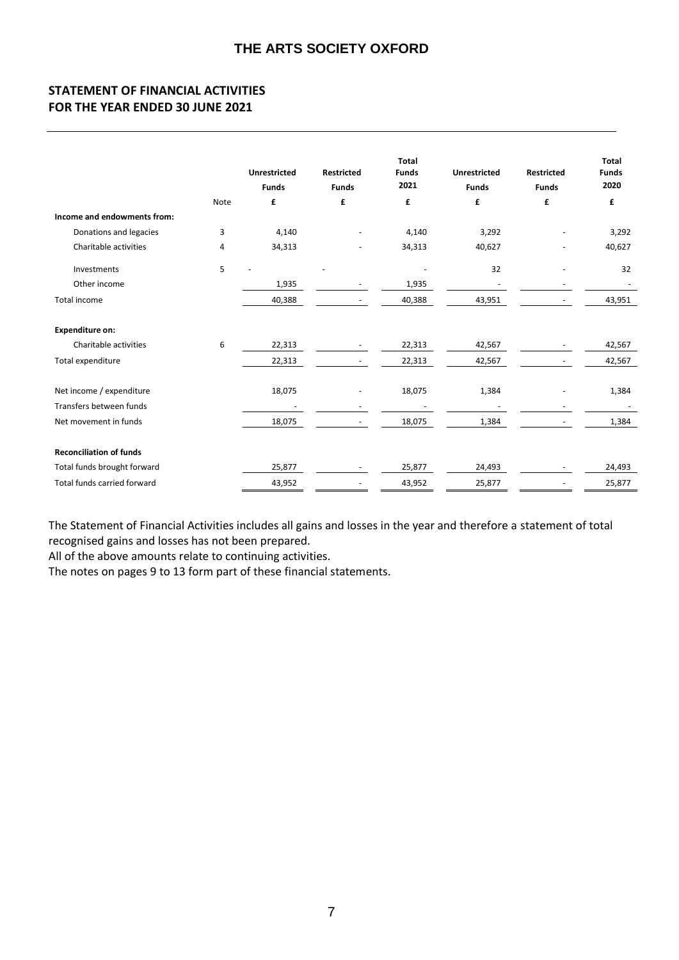## **STATEMENT OF FINANCIAL ACTIVITIES FOR THE YEAR ENDED 30 JUNE 2021**

|                                |      | <b>Unrestricted</b><br><b>Funds</b> | <b>Restricted</b><br><b>Funds</b> | <b>Total</b><br><b>Funds</b><br>2021 | <b>Unrestricted</b><br><b>Funds</b> | <b>Restricted</b><br><b>Funds</b> | <b>Total</b><br><b>Funds</b><br>2020 |
|--------------------------------|------|-------------------------------------|-----------------------------------|--------------------------------------|-------------------------------------|-----------------------------------|--------------------------------------|
|                                | Note | £                                   | £                                 | £                                    | £                                   | £                                 | £                                    |
| Income and endowments from:    |      |                                     |                                   |                                      |                                     |                                   |                                      |
| Donations and legacies         | 3    | 4,140                               |                                   | 4,140                                | 3,292                               |                                   | 3,292                                |
| Charitable activities          | 4    | 34,313                              | ÷,                                | 34,313                               | 40,627                              |                                   | 40,627                               |
| Investments                    | 5    |                                     |                                   |                                      | 32                                  |                                   | 32                                   |
| Other income                   |      | 1,935                               | $\overline{\phantom{a}}$          | 1,935                                | $\overline{\phantom{a}}$            |                                   |                                      |
| Total income                   |      | 40,388                              |                                   | 40,388                               | 43,951                              |                                   | 43,951                               |
| <b>Expenditure on:</b>         |      |                                     |                                   |                                      |                                     |                                   |                                      |
| Charitable activities          | 6    | 22,313                              |                                   | 22,313                               | 42,567                              |                                   | 42,567                               |
| Total expenditure              |      | 22,313                              |                                   | 22,313                               | 42,567                              |                                   | 42,567                               |
| Net income / expenditure       |      | 18,075                              |                                   | 18,075                               | 1,384                               |                                   | 1,384                                |
| Transfers between funds        |      |                                     |                                   |                                      |                                     |                                   |                                      |
| Net movement in funds          |      | 18,075                              |                                   | 18,075                               | 1,384                               |                                   | 1,384                                |
| <b>Reconciliation of funds</b> |      |                                     |                                   |                                      |                                     |                                   |                                      |
| Total funds brought forward    |      | 25,877                              |                                   | 25,877                               | 24,493                              |                                   | 24,493                               |
| Total funds carried forward    |      | 43,952                              |                                   | 43,952                               | 25,877                              |                                   | 25,877                               |

The Statement of Financial Activities includes all gains and losses in the year and therefore a statement of total recognised gains and losses has not been prepared.

All of the above amounts relate to continuing activities.

The notes on pages 9 to 13 form part of these financial statements.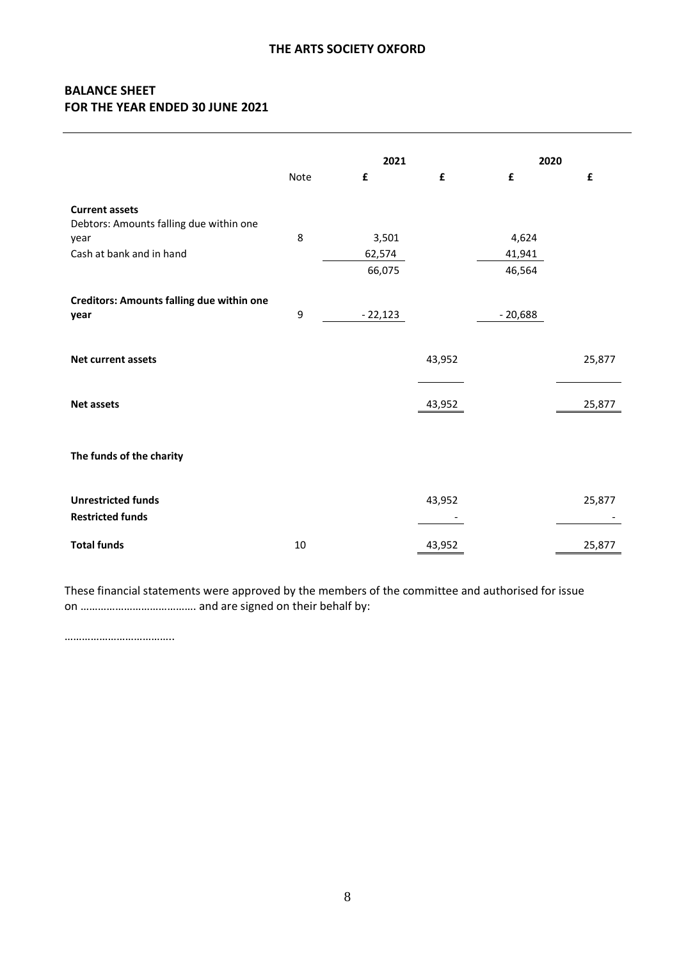## **BALANCE SHEET FOR THE YEAR ENDED 30 JUNE 2021**

|                                                                                                      |      | 2021                      |        | 2020                      |        |
|------------------------------------------------------------------------------------------------------|------|---------------------------|--------|---------------------------|--------|
|                                                                                                      | Note | £                         | £      | £                         | £      |
| <b>Current assets</b><br>Debtors: Amounts falling due within one<br>year<br>Cash at bank and in hand | 8    | 3,501<br>62,574<br>66,075 |        | 4,624<br>41,941<br>46,564 |        |
| <b>Creditors: Amounts falling due within one</b><br>year                                             | 9    | $-22,123$                 |        | $-20,688$                 |        |
| Net current assets                                                                                   |      |                           | 43,952 |                           | 25,877 |
| <b>Net assets</b>                                                                                    |      |                           | 43,952 |                           | 25,877 |
| The funds of the charity                                                                             |      |                           |        |                           |        |
| <b>Unrestricted funds</b><br><b>Restricted funds</b>                                                 |      |                           | 43,952 |                           | 25,877 |
| <b>Total funds</b>                                                                                   | 10   |                           | 43,952 |                           | 25,877 |

These financial statements were approved by the members of the committee and authorised for issue on …………………………………. and are signed on their behalf by:

………………………………..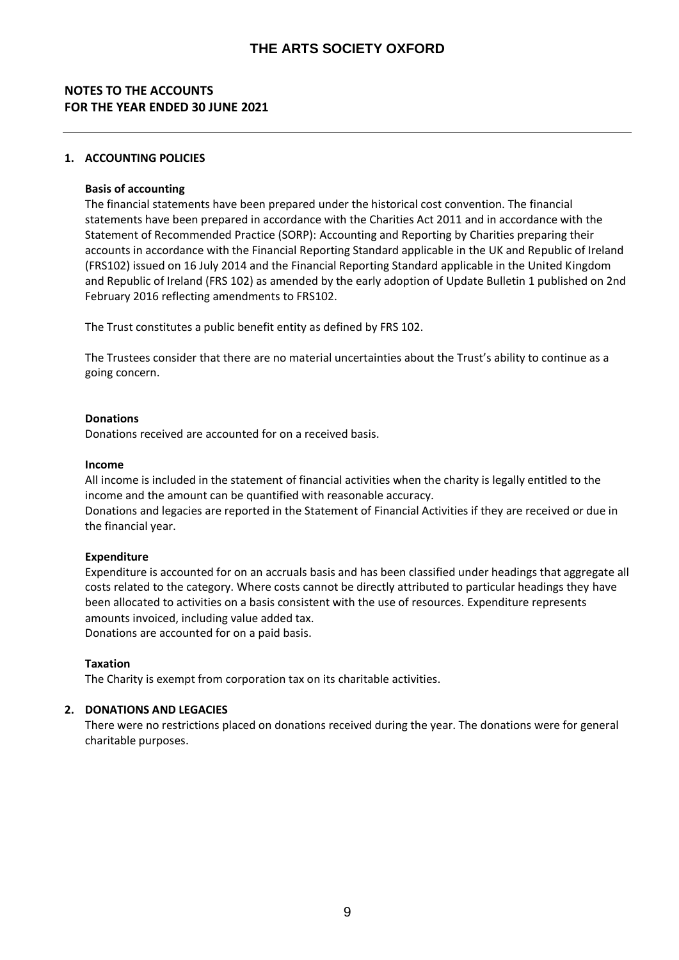## **NOTES TO THE ACCOUNTS FOR THE YEAR ENDED 30 JUNE 2021**

### **1. ACCOUNTING POLICIES**

### **Basis of accounting**

The financial statements have been prepared under the historical cost convention. The financial statements have been prepared in accordance with the Charities Act 2011 and in accordance with the Statement of Recommended Practice (SORP): Accounting and Reporting by Charities preparing their accounts in accordance with the Financial Reporting Standard applicable in the UK and Republic of Ireland (FRS102) issued on 16 July 2014 and the Financial Reporting Standard applicable in the United Kingdom and Republic of Ireland (FRS 102) as amended by the early adoption of Update Bulletin 1 published on 2nd February 2016 reflecting amendments to FRS102.

The Trust constitutes a public benefit entity as defined by FRS 102.

The Trustees consider that there are no material uncertainties about the Trust's ability to continue as a going concern.

### **Donations**

Donations received are accounted for on a received basis.

### **Income**

All income is included in the statement of financial activities when the charity is legally entitled to the income and the amount can be quantified with reasonable accuracy.

Donations and legacies are reported in the Statement of Financial Activities if they are received or due in the financial year.

### **Expenditure**

Expenditure is accounted for on an accruals basis and has been classified under headings that aggregate all costs related to the category. Where costs cannot be directly attributed to particular headings they have been allocated to activities on a basis consistent with the use of resources. Expenditure represents amounts invoiced, including value added tax. Donations are accounted for on a paid basis.

### **Taxation**

The Charity is exempt from corporation tax on its charitable activities.

### **2. DONATIONS AND LEGACIES**

There were no restrictions placed on donations received during the year. The donations were for general charitable purposes.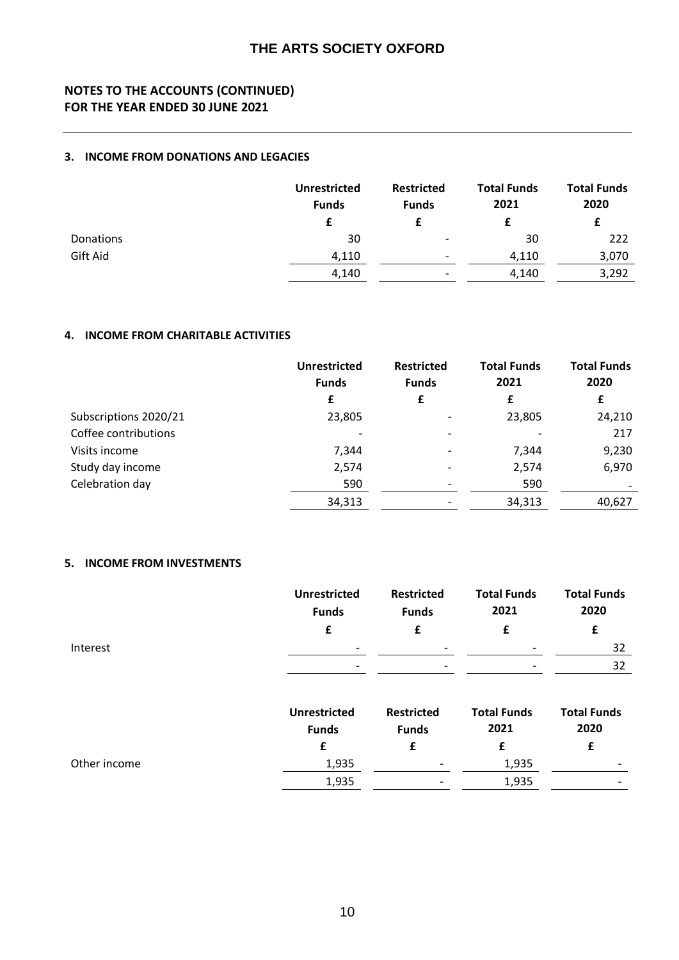## **NOTES TO THE ACCOUNTS (CONTINUED) FOR THE YEAR ENDED 30 JUNE 2021**

### **3. INCOME FROM DONATIONS AND LEGACIES**

|           | <b>Unrestricted</b><br><b>Funds</b> | <b>Restricted</b><br><b>Funds</b> | <b>Total Funds</b><br>2021 | <b>Total Funds</b><br>2020 |
|-----------|-------------------------------------|-----------------------------------|----------------------------|----------------------------|
|           |                                     |                                   |                            |                            |
| Donations | 30                                  | -                                 | 30                         | 222                        |
| Gift Aid  | 4,110                               | $\overline{\phantom{a}}$          | 4,110                      | 3,070                      |
|           | 4,140                               |                                   | 4,140                      | 3,292                      |

### **4. INCOME FROM CHARITABLE ACTIVITIES**

|                       | <b>Unrestricted</b><br><b>Funds</b> | <b>Restricted</b><br><b>Funds</b> | <b>Total Funds</b><br>2021 | <b>Total Funds</b><br>2020 |
|-----------------------|-------------------------------------|-----------------------------------|----------------------------|----------------------------|
|                       | £                                   | £                                 | £                          | £                          |
| Subscriptions 2020/21 | 23,805                              |                                   | 23,805                     | 24,210                     |
| Coffee contributions  | $\overline{\phantom{0}}$            |                                   |                            | 217                        |
| Visits income         | 7,344                               |                                   | 7,344                      | 9,230                      |
| Study day income      | 2,574                               |                                   | 2,574                      | 6,970                      |
| Celebration day       | 590                                 |                                   | 590                        |                            |
|                       | 34,313                              |                                   | 34,313                     | 40,627                     |

### **5. INCOME FROM INVESTMENTS**

|              | <b>Unrestricted</b><br><b>Funds</b> | <b>Restricted</b><br><b>Funds</b> | <b>Total Funds</b><br>2021 | <b>Total Funds</b><br>2020 |
|--------------|-------------------------------------|-----------------------------------|----------------------------|----------------------------|
|              | £                                   | £                                 | £                          | £                          |
| Interest     | -                                   |                                   |                            | 32                         |
|              | $\overline{\phantom{a}}$            |                                   |                            | 32                         |
|              | <b>Unrestricted</b><br><b>Funds</b> | <b>Restricted</b><br><b>Funds</b> | <b>Total Funds</b><br>2021 | <b>Total Funds</b><br>2020 |
|              | £                                   | £                                 | £                          | £                          |
| Other income | 1,935                               |                                   | 1,935                      |                            |
|              | 1,935                               |                                   | 1,935                      |                            |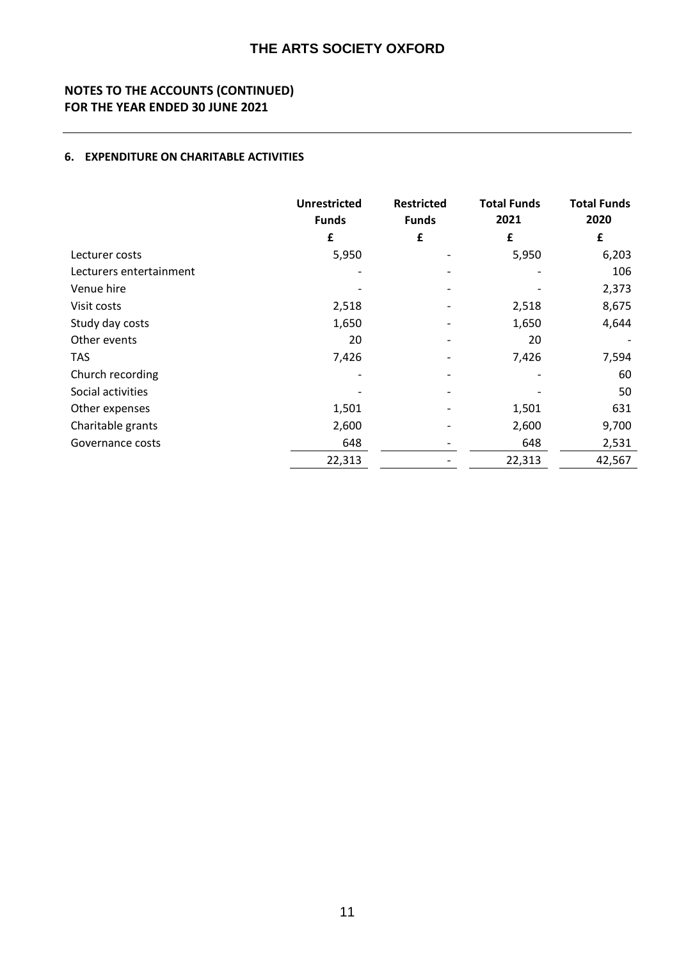## **NOTES TO THE ACCOUNTS (CONTINUED) FOR THE YEAR ENDED 30 JUNE 2021**

### **6. EXPENDITURE ON CHARITABLE ACTIVITIES**

|                         | <b>Unrestricted</b><br><b>Funds</b> | <b>Restricted</b><br><b>Funds</b> | <b>Total Funds</b><br>2021 | <b>Total Funds</b><br>2020 |
|-------------------------|-------------------------------------|-----------------------------------|----------------------------|----------------------------|
|                         | £                                   | £                                 | £                          | £                          |
| Lecturer costs          | 5,950                               |                                   | 5,950                      | 6,203                      |
| Lecturers entertainment |                                     |                                   |                            | 106                        |
| Venue hire              |                                     |                                   |                            | 2,373                      |
| Visit costs             | 2,518                               |                                   | 2,518                      | 8,675                      |
| Study day costs         | 1,650                               |                                   | 1,650                      | 4,644                      |
| Other events            | 20                                  |                                   | 20                         |                            |
| <b>TAS</b>              | 7,426                               |                                   | 7,426                      | 7,594                      |
| Church recording        |                                     |                                   |                            | 60                         |
| Social activities       |                                     |                                   |                            | 50                         |
| Other expenses          | 1,501                               |                                   | 1,501                      | 631                        |
| Charitable grants       | 2,600                               |                                   | 2,600                      | 9,700                      |
| Governance costs        | 648                                 |                                   | 648                        | 2,531                      |
|                         | 22,313                              |                                   | 22,313                     | 42,567                     |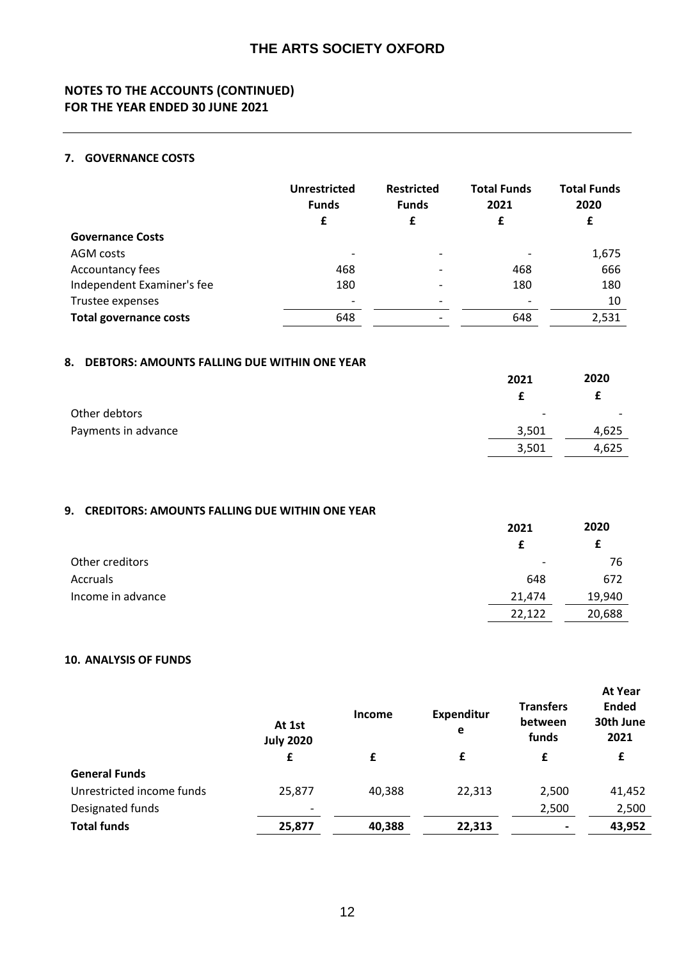## **NOTES TO THE ACCOUNTS (CONTINUED) FOR THE YEAR ENDED 30 JUNE 2021**

### **7. GOVERNANCE COSTS**

|                               | <b>Unrestricted</b><br><b>Funds</b><br>£ | <b>Restricted</b><br><b>Funds</b><br>£ | <b>Total Funds</b><br>2021<br>£ | <b>Total Funds</b><br>2020<br>£ |
|-------------------------------|------------------------------------------|----------------------------------------|---------------------------------|---------------------------------|
| <b>Governance Costs</b>       |                                          |                                        |                                 |                                 |
| AGM costs                     |                                          |                                        |                                 | 1,675                           |
| Accountancy fees              | 468                                      |                                        | 468                             | 666                             |
| Independent Examiner's fee    | 180                                      |                                        | 180                             | 180                             |
| Trustee expenses              |                                          |                                        |                                 | 10                              |
| <b>Total governance costs</b> | 648                                      |                                        | 648                             | 2,531                           |

### **8. DEBTORS: AMOUNTS FALLING DUE WITHIN ONE YEAR**

|                     | 2021                     | 2020                     |
|---------------------|--------------------------|--------------------------|
|                     |                          |                          |
| Other debtors       | $\overline{\phantom{0}}$ | $\overline{\phantom{0}}$ |
| Payments in advance | 3,501                    | 4,625                    |
|                     | 3,501                    | 4,625                    |

## **9. CREDITORS: AMOUNTS FALLING DUE WITHIN ONE YEAR**

|                   | 2021                     | 2020   |
|-------------------|--------------------------|--------|
|                   |                          |        |
| Other creditors   | $\overline{\phantom{a}}$ | 76     |
| Accruals          | 648                      | 672    |
| Income in advance | 21,474                   | 19,940 |
|                   | 22,122                   | 20,688 |

### **10. ANALYSIS OF FUNDS**

|                           | At 1st<br><b>July 2020</b> | <b>Income</b> | <b>Expenditur</b><br>e | <b>Transfers</b><br>between<br>funds | <b>At Year</b><br><b>Ended</b><br>30th June<br>2021 |
|---------------------------|----------------------------|---------------|------------------------|--------------------------------------|-----------------------------------------------------|
|                           | £                          | £             | £                      | £                                    | £                                                   |
| <b>General Funds</b>      |                            |               |                        |                                      |                                                     |
| Unrestricted income funds | 25,877                     | 40,388        | 22,313                 | 2,500                                | 41,452                                              |
| Designated funds          | $\overline{\phantom{a}}$   |               |                        | 2,500                                | 2,500                                               |
| <b>Total funds</b>        | 25,877                     | 40,388        | 22,313                 |                                      | 43,952                                              |